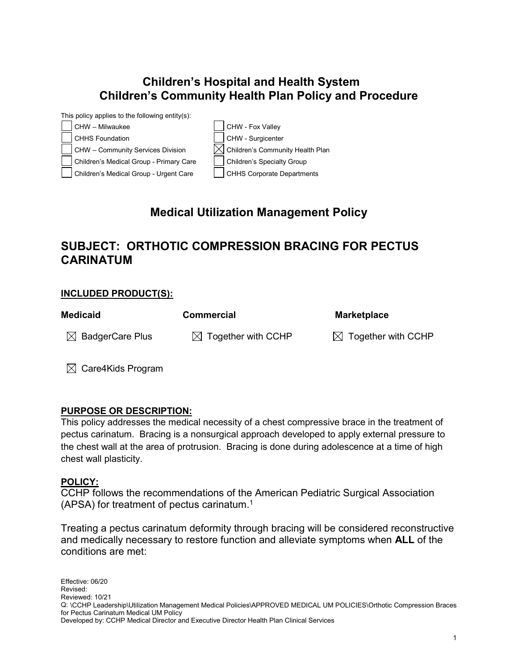## **Children's Hospital and Health System Children's Community Health Plan Policy and Procedure**



# **Medical Utilization Management Policy**

## **SUBJECT: ORTHOTIC COMPRESSION BRACING FOR PECTUS CARINATUM**

#### **INCLUDED PRODUCT(S):**

| <b>Medicaid</b>             | <b>Commercial</b>              | <b>Marketplace</b>             |
|-----------------------------|--------------------------------|--------------------------------|
| $\boxtimes$ BadgerCare Plus | $\boxtimes$ Together with CCHP | $\boxtimes$ Together with CCHP |

 $\boxtimes$  Care4Kids Program

### **PURPOSE OR DESCRIPTION:**

This policy addresses the medical necessity of a chest compressive brace in the treatment of pectus carinatum. Bracing is a nonsurgical approach developed to apply external pressure to the chest wall at the area of protrusion. Bracing is done during adolescence at a time of high chest wall plasticity.

#### **POLICY:**

CCHP follows the recommendations of the American Pediatric Surgical Association (APSA) for treatment of pectus carinatum. 1

Treating a pectus carinatum deformity through bracing will be considered reconstructive and medically necessary to restore function and alleviate symptoms when **ALL** of the conditions are met: